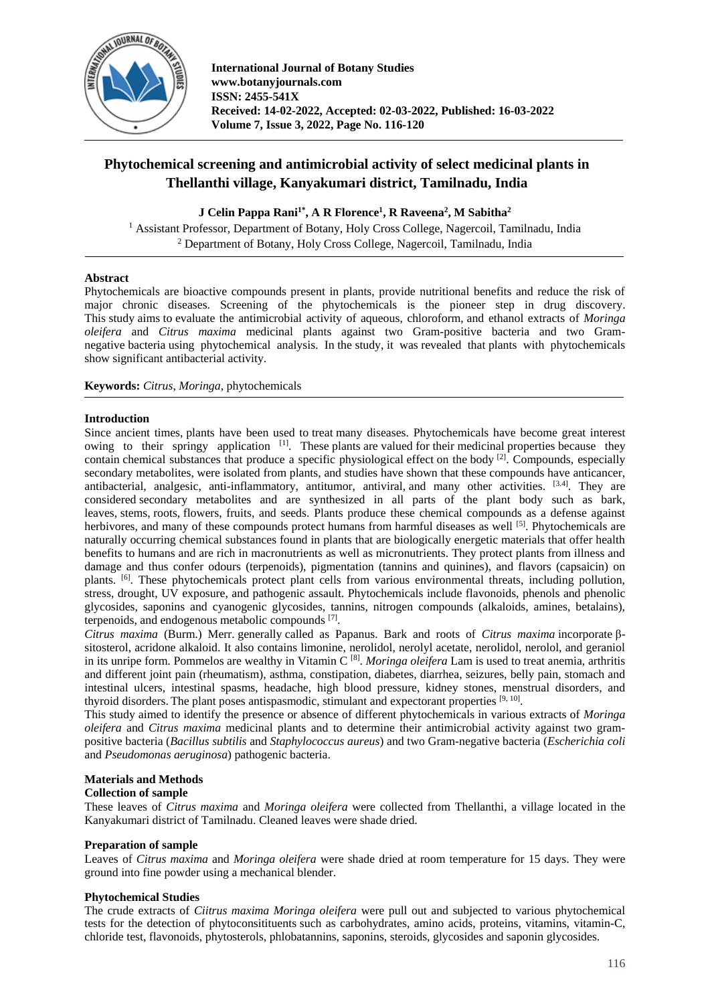

# **Phytochemical screening and antimicrobial activity of select medicinal plants in Thellanthi village, Kanyakumari district, Tamilnadu, India**

## **J Celin Pappa Rani1\* , A R Florence<sup>1</sup> , R Raveena<sup>2</sup> , M Sabitha<sup>2</sup>**

<sup>1</sup> Assistant Professor, Department of Botany, Holy Cross College, Nagercoil, Tamilnadu, India <sup>2</sup> Department of Botany, Holy Cross College, Nagercoil, Tamilnadu, India

## **Abstract**

Phytochemicals are bioactive compounds present in plants, provide nutritional benefits and reduce the risk of major chronic diseases. Screening of the phytochemicals is the pioneer step in drug discovery. This study aims to evaluate the antimicrobial activity of aqueous, chloroform, and ethanol extracts of *Moringa oleifera* and *Citrus maxima* medicinal plants against two Gram-positive bacteria and two Gramnegative bacteria using phytochemical analysis. In the study, it was revealed that plants with phytochemicals show significant antibacterial activity.

**Keywords:** *Citrus*, *Moringa*, phytochemicals

### **Introduction**

Since ancient times, plants have been used to treat many diseases. Phytochemicals have become great interest owing to their springy application  $[1]$ . These plants are valued for their medicinal properties because they contain chemical substances that produce a specific physiological effect on the body [2]. Compounds, especially secondary metabolites, were isolated from plants, and studies have shown that these compounds have anticancer, antibacterial, analgesic, anti-inflammatory, antitumor, antiviral, and many other activities.  $[3.4]$ . They are considered secondary metabolites and are synthesized in all parts of the plant body such as bark, leaves, stems, roots, flowers, fruits, and seeds. Plants produce these chemical compounds as a defense against herbivores, and many of these compounds protect humans from harmful diseases as well [5]. Phytochemicals are naturally occurring chemical substances found in plants that are biologically energetic materials that offer health benefits to humans and are rich in macronutrients as well as micronutrients. They protect plants from illness and damage and thus confer odours (terpenoids), pigmentation (tannins and quinines), and flavors (capsaicin) on plants. [6]. These phytochemicals protect plant cells from various environmental threats, including pollution, stress, drought, UV exposure, and pathogenic assault. Phytochemicals include flavonoids, phenols and phenolic glycosides, saponins and cyanogenic glycosides, tannins, nitrogen compounds (alkaloids, amines, betalains), terpenoids, and endogenous metabolic compounds [7].

*Citrus maxima* (Burm.) Merr. generally called as Papanus. Bark and roots of *Citrus maxima* incorporate βsitosterol, acridone alkaloid. It also contains limonine, nerolidol, nerolyl acetate, nerolidol, nerolol, and geraniol in its unripe form. Pommelos are wealthy in Vitamin C [8] . *Moringa oleifera* Lam is used to treat anemia, arthritis and different joint pain (rheumatism), asthma, constipation, diabetes, diarrhea, seizures, belly pain, stomach and intestinal ulcers, intestinal spasms, headache, high blood pressure, kidney stones, menstrual disorders, and thyroid disorders. The plant poses antispasmodic, stimulant and expectorant properties [9, 10].

This study aimed to identify the presence or absence of different phytochemicals in various extracts of *Moringa oleifera* and *Citrus maxima* medicinal plants and to determine their antimicrobial activity against two grampositive bacteria (*Bacillus subtilis* and *Staphylococcus aureus*) and two Gram-negative bacteria (*Escherichia coli* and *Pseudomonas aeruginosa*) pathogenic bacteria.

## **Materials and Methods**

#### **Collection of sample**

These leaves of *Citrus maxima* and *Moringa oleifera* were collected from Thellanthi, a village located in the Kanyakumari district of Tamilnadu. Cleaned leaves were shade dried.

## **Preparation of sample**

Leaves of *Citrus maxima* and *Moringa oleifera* were shade dried at room temperature for 15 days. They were ground into fine powder using a mechanical blender.

#### **Phytochemical Studies**

The crude extracts of *Ciitrus maxima Moringa oleifera* were pull out and subjected to various phytochemical tests for the detection of phytoconsitituents such as carbohydrates, amino acids, proteins, vitamins, vitamin-C, chloride test, flavonoids, phytosterols, phlobatannins, saponins, steroids, glycosides and saponin glycosides.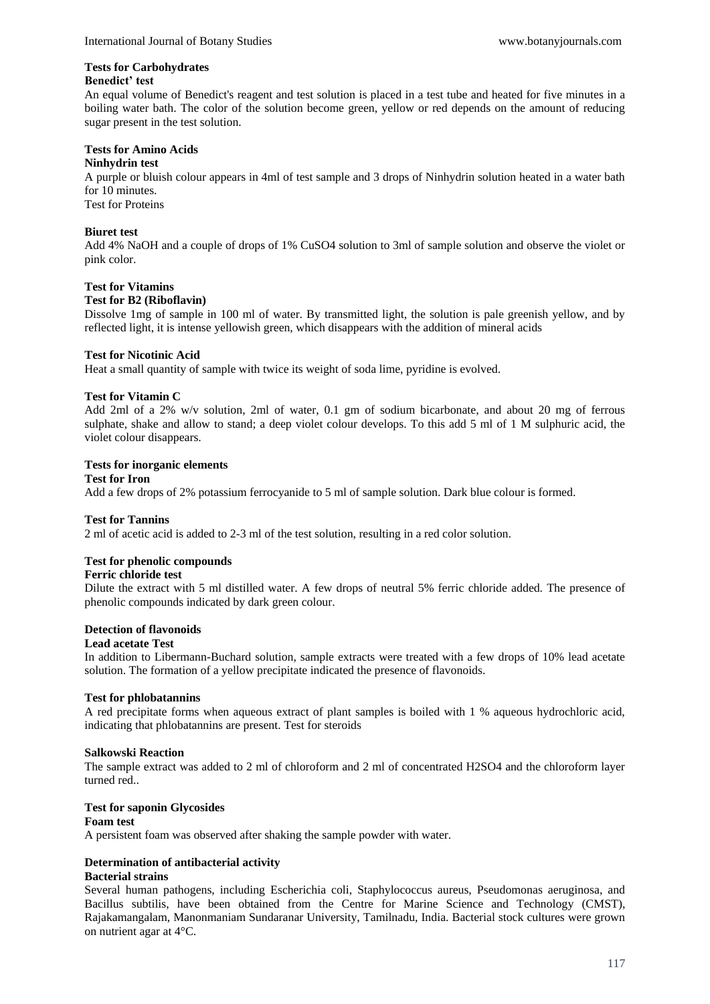## **Tests for Carbohydrates**

#### **Benedict' test**

An equal volume of Benedict's reagent and test solution is placed in a test tube and heated for five minutes in a boiling water bath. The color of the solution become green, yellow or red depends on the amount of reducing sugar present in the test solution.

## **Tests for Amino Acids**

## **Ninhydrin test**

A purple or bluish colour appears in 4ml of test sample and 3 drops of Ninhydrin solution heated in a water bath for 10 minutes.

Test for Proteins

## **Biuret test**

Add 4% NaOH and a couple of drops of 1% CuSO4 solution to 3ml of sample solution and observe the violet or pink color.

### **Test for Vitamins**

### **Test for B2 (Riboflavin)**

Dissolve 1mg of sample in 100 ml of water. By transmitted light, the solution is pale greenish yellow, and by reflected light, it is intense yellowish green, which disappears with the addition of mineral acids

### **Test for Nicotinic Acid**

Heat a small quantity of sample with twice its weight of soda lime, pyridine is evolved.

## **Test for Vitamin C**

Add 2ml of a 2% w/v solution, 2ml of water, 0.1 gm of sodium bicarbonate, and about 20 mg of ferrous sulphate, shake and allow to stand; a deep violet colour develops. To this add 5 ml of 1 M sulphuric acid, the violet colour disappears.

### **Tests for inorganic elements**

#### **Test for Iron**

Add a few drops of 2% potassium ferrocyanide to 5 ml of sample solution. Dark blue colour is formed.

## **Test for Tannins**

2 ml of acetic acid is added to 2-3 ml of the test solution, resulting in a red color solution.

## **Test for phenolic compounds**

## **Ferric chloride test**

Dilute the extract with 5 ml distilled water. A few drops of neutral 5% ferric chloride added. The presence of phenolic compounds indicated by dark green colour.

## **Detection of flavonoids**

#### **Lead acetate Test**

In addition to Libermann-Buchard solution, sample extracts were treated with a few drops of 10% lead acetate solution. The formation of a yellow precipitate indicated the presence of flavonoids.

## **Test for phlobatannins**

A red precipitate forms when aqueous extract of plant samples is boiled with 1 % aqueous hydrochloric acid, indicating that phlobatannins are present. Test for steroids

#### **Salkowski Reaction**

The sample extract was added to 2 ml of chloroform and 2 ml of concentrated H2SO4 and the chloroform layer turned red..

## **Test for saponin Glycosides**

## **Foam test**

A persistent foam was observed after shaking the sample powder with water.

## **Determination of antibacterial activity**

#### **Bacterial strains**

Several human pathogens, including Escherichia coli, Staphylococcus aureus, Pseudomonas aeruginosa, and Bacillus subtilis, have been obtained from the Centre for Marine Science and Technology (CMST), Rajakamangalam, Manonmaniam Sundaranar University, Tamilnadu, India. Bacterial stock cultures were grown on nutrient agar at 4°C.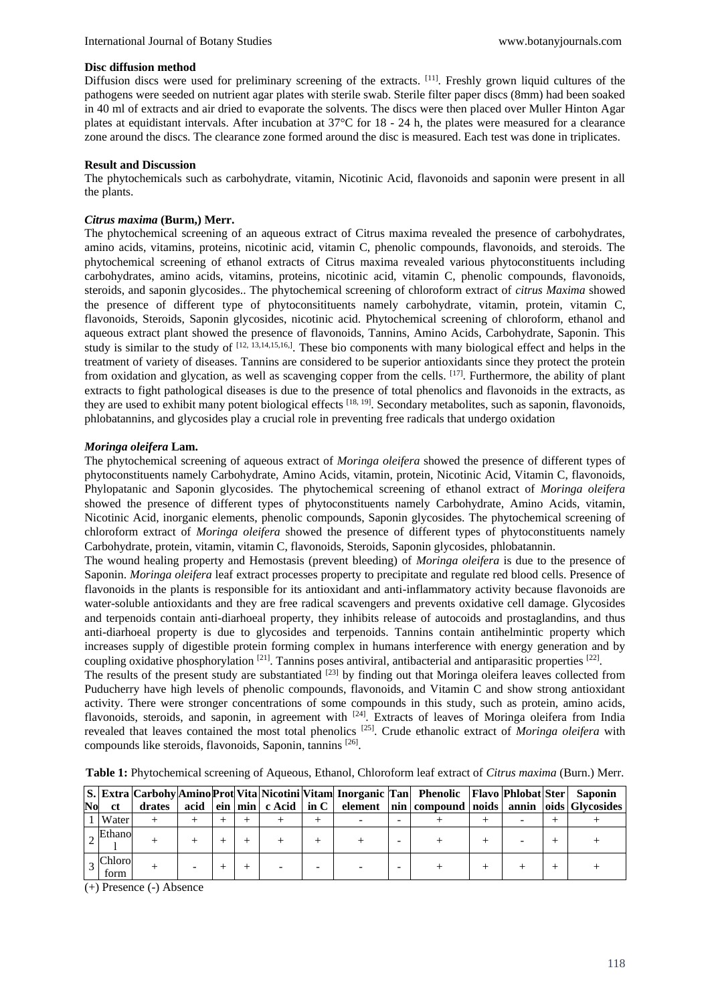#### **Disc diffusion method**

Diffusion discs were used for preliminary screening of the extracts. [11]. Freshly grown liquid cultures of the pathogens were seeded on nutrient agar plates with sterile swab. Sterile filter paper discs (8mm) had been soaked in 40 ml of extracts and air dried to evaporate the solvents. The discs were then placed over Muller Hinton Agar plates at equidistant intervals. After incubation at 37°C for 18 - 24 h, the plates were measured for a clearance zone around the discs. The clearance zone formed around the disc is measured. Each test was done in triplicates.

### **Result and Discussion**

The phytochemicals such as carbohydrate, vitamin, Nicotinic Acid, flavonoids and saponin were present in all the plants.

### *Citrus maxima* **(Burm,) Merr.**

The phytochemical screening of an aqueous extract of Citrus maxima revealed the presence of carbohydrates, amino acids, vitamins, proteins, nicotinic acid, vitamin C, phenolic compounds, flavonoids, and steroids. The phytochemical screening of ethanol extracts of Citrus maxima revealed various phytoconstituents including carbohydrates, amino acids, vitamins, proteins, nicotinic acid, vitamin C, phenolic compounds, flavonoids, steroids, and saponin glycosides.. The phytochemical screening of chloroform extract of *citrus Maxima* showed the presence of different type of phytoconsitituents namely carbohydrate, vitamin, protein, vitamin C, flavonoids, Steroids, Saponin glycosides, nicotinic acid. Phytochemical screening of chloroform, ethanol and aqueous extract plant showed the presence of flavonoids, Tannins, Amino Acids, Carbohydrate, Saponin. This study is similar to the study of  $[12, 13, 14, 15, 16]$ . These bio components with many biological effect and helps in the treatment of variety of diseases. Tannins are considered to be superior antioxidants since they protect the protein from oxidation and glycation, as well as scavenging copper from the cells.  $[17]$ . Furthermore, the ability of plant extracts to fight pathological diseases is due to the presence of total phenolics and flavonoids in the extracts, as they are used to exhibit many potent biological effects  $[18, 19]$ . Secondary metabolites, such as saponin, flavonoids, phlobatannins, and glycosides play a crucial role in preventing free radicals that undergo oxidation

## *Moringa oleifera* **Lam.**

The phytochemical screening of aqueous extract of *Moringa oleifera* showed the presence of different types of phytoconstituents namely Carbohydrate, Amino Acids, vitamin, protein, Nicotinic Acid, Vitamin C, flavonoids, Phylopatanic and Saponin glycosides. The phytochemical screening of ethanol extract of *Moringa oleifera* showed the presence of different types of phytoconstituents namely Carbohydrate, Amino Acids, vitamin, Nicotinic Acid, inorganic elements, phenolic compounds, Saponin glycosides. The phytochemical screening of chloroform extract of *Moringa oleifera* showed the presence of different types of phytoconstituents namely Carbohydrate, protein, vitamin, vitamin C, flavonoids, Steroids, Saponin glycosides, phlobatannin.

The wound healing property and Hemostasis (prevent bleeding) of *Moringa oleifera* is due to the presence of Saponin. *Moringa oleifera* leaf extract processes property to precipitate and regulate red blood cells. Presence of flavonoids in the plants is responsible for its antioxidant and anti-inflammatory activity because flavonoids are water-soluble antioxidants and they are free radical scavengers and prevents oxidative cell damage. Glycosides and terpenoids contain anti-diarhoeal property, they inhibits release of autocoids and prostaglandins, and thus anti-diarhoeal property is due to glycosides and terpenoids. Tannins contain antihelmintic property which increases supply of digestible protein forming complex in humans interference with energy generation and by coupling oxidative phosphorylation <sup>[21]</sup>. Tannins poses antiviral, antibacterial and antiparasitic properties <sup>[22]</sup>.

The results of the present study are substantiated <sup>[23]</sup> by finding out that Moringa oleifera leaves collected from Puducherry have high levels of phenolic compounds, flavonoids, and Vitamin C and show strong antioxidant activity. There were stronger concentrations of some compounds in this study, such as protein, amino acids, flavonoids, steroids, and saponin, in agreement with <sup>[24]</sup>. Extracts of leaves of Moringa oleifera from India revealed that leaves contained the most total phenolics [25]. Crude ethanolic extract of *Moringa oleifera* with compounds like steroids, flavonoids, Saponin, tannins [26].

|    |                |        |  |  |  | S. Extra Carbohy Amino Prot Vita Nicotini Vitam Inorganic Tan Phenolic Flavo Phlobat Ster Saponin |  |                                                                                                 |
|----|----------------|--------|--|--|--|---------------------------------------------------------------------------------------------------|--|-------------------------------------------------------------------------------------------------|
| No | <b>ct</b>      | drates |  |  |  |                                                                                                   |  | acid   ein   min   c Acid   in C   element   nin   compound   noids   annin   oids   Glycosides |
|    | Water          |        |  |  |  |                                                                                                   |  |                                                                                                 |
|    | $\sim$ Ethano  |        |  |  |  |                                                                                                   |  |                                                                                                 |
|    | Chloro<br>form |        |  |  |  |                                                                                                   |  |                                                                                                 |

**Table 1:** Phytochemical screening of Aqueous, Ethanol, Chloroform leaf extract of *Citrus maxima* (Burn.) Merr.

(+) Presence (-) Absence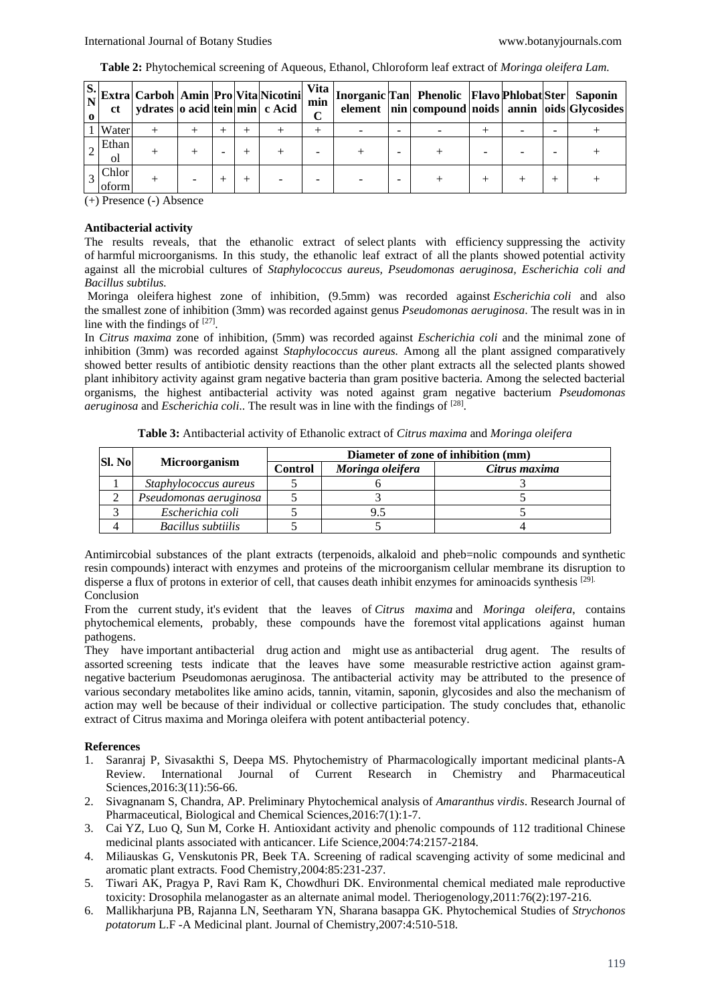|  |  |  | Table 2: Phytochemical screening of Aqueous, Ethanol, Chloroform leaf extract of Moringa oleifera Lam. |  |
|--|--|--|--------------------------------------------------------------------------------------------------------|--|
|--|--|--|--------------------------------------------------------------------------------------------------------|--|

| <sub>ct</sub>  | $\begin{bmatrix} S. \\ N \end{bmatrix}$ Extra Carboh Amin Pro $\begin{bmatrix} Vita \end{bmatrix}$ Nicotini<br>  ydrates   o acid   tein   min   c Acid |  |  | <b>Vita</b><br>min<br>$\mathbf{\Omega}$ |  | Inorganic Tan Phenolic Flavo Phlobat Ster Saponin<br>element   nin   compound   noids   annin   oids   Glycosides |  |  |
|----------------|---------------------------------------------------------------------------------------------------------------------------------------------------------|--|--|-----------------------------------------|--|-------------------------------------------------------------------------------------------------------------------|--|--|
| Water          |                                                                                                                                                         |  |  |                                         |  |                                                                                                                   |  |  |
| Ethan<br>οl    |                                                                                                                                                         |  |  |                                         |  |                                                                                                                   |  |  |
| Chlor<br>oform |                                                                                                                                                         |  |  |                                         |  |                                                                                                                   |  |  |

(+) Presence (-) Absence

### **Antibacterial activity**

The results reveals, that the ethanolic extract of select plants with efficiency suppressing the activity of harmful microorganisms. In this study, the ethanolic leaf extract of all the plants showed potential activity against all the microbial cultures of *Staphylococcus aureus, Pseudomonas aeruginosa, Escherichia coli and Bacillus subtilus.*

Moringa oleifera highest zone of inhibition, (9.5mm) was recorded against *Escherichia coli* and also the smallest zone of inhibition (3mm) was recorded against genus *Pseudomonas aeruginosa*. The result was in in line with the findings of  $[27]$ .

In *Citrus maxima* zone of inhibition, (5mm) was recorded against *Escherichia coli* and the minimal zone of inhibition (3mm) was recorded against *Staphylococcus aureus.* Among all the plant assigned comparatively showed better results of antibiotic density reactions than the other plant extracts all the selected plants showed plant inhibitory activity against gram negative bacteria than gram positive bacteria. Among the selected bacterial organisms, the highest antibacterial activity was noted against gram negative bacterium *Pseudomonas aeruginosa* and *Escherichia coli*.. The result was in line with the findings of [28] .

|  |  | Table 3: Antibacterial activity of Ethanolic extract of Citrus maxima and Moringa oleifera |  |
|--|--|--------------------------------------------------------------------------------------------|--|
|--|--|--------------------------------------------------------------------------------------------|--|

| <b>SI. No</b> |                        | Diameter of zone of inhibition (mm) |                  |               |  |  |  |  |  |
|---------------|------------------------|-------------------------------------|------------------|---------------|--|--|--|--|--|
|               | <b>Microorganism</b>   | <b>Control</b>                      | Moringa oleifera | Citrus maxima |  |  |  |  |  |
|               | Staphylococcus aureus  |                                     |                  |               |  |  |  |  |  |
|               | Pseudomonas aeruginosa |                                     |                  |               |  |  |  |  |  |
|               | Escherichia coli       |                                     | 9.5              |               |  |  |  |  |  |
|               | Bacillus subtiilis     |                                     |                  |               |  |  |  |  |  |

Antimircobial substances of the plant extracts (terpenoids, alkaloid and pheb=nolic compounds and synthetic resin compounds) interact with enzymes and proteins of the microorganism cellular membrane its disruption to disperse a flux of protons in exterior of cell, that causes death inhibit enzymes for aminoacids synthesis [29]. Conclusion

From the current study, it's evident that the leaves of *Citrus maxima* and *Moringa oleifera*, contains phytochemical elements, probably, these compounds have the foremost vital applications against human pathogens.

They have important antibacterial drug action and might use as antibacterial drug agent. The results of assorted screening tests indicate that the leaves have some measurable restrictive action against gramnegative bacterium Pseudomonas aeruginosa. The antibacterial activity may be attributed to the presence of various secondary metabolites like amino acids, tannin, vitamin, saponin, glycosides and also the mechanism of action may well be because of their individual or collective participation. The study concludes that, ethanolic extract of Citrus maxima and Moringa oleifera with potent antibacterial potency.

## **References**

- 1. Saranraj P, Sivasakthi S, Deepa MS. Phytochemistry of Pharmacologically important medicinal plants-A Review. International Journal of Current Research in Chemistry and Pharmaceutical Sciences, 2016: 3(11): 56-66.
- 2. Sivagnanam S, Chandra, AP. Preliminary Phytochemical analysis of *Amaranthus virdis*. Research Journal of Pharmaceutical, Biological and Chemical Sciences,2016:7(1):1-7.
- 3. Cai YZ, Luo Q, Sun M, Corke H. Antioxidant activity and phenolic compounds of 112 traditional Chinese medicinal plants associated with anticancer. Life Science,2004:74:2157-2184.
- 4. Miliauskas G, Venskutonis PR, Beek TA. Screening of radical scavenging activity of some medicinal and aromatic plant extracts. Food Chemistry,2004:85:231-237.
- 5. Tiwari AK, Pragya P, Ravi Ram K, Chowdhuri DK. Environmental chemical mediated male reproductive toxicity: Drosophila melanogaster as an alternate animal model. Theriogenology,2011:76(2):197-216.
- 6. Mallikharjuna PB, Rajanna LN, Seetharam YN, Sharana basappa GK. Phytochemical Studies of *Strychonos potatorum* L.F -A Medicinal plant. Journal of Chemistry,2007:4:510-518.